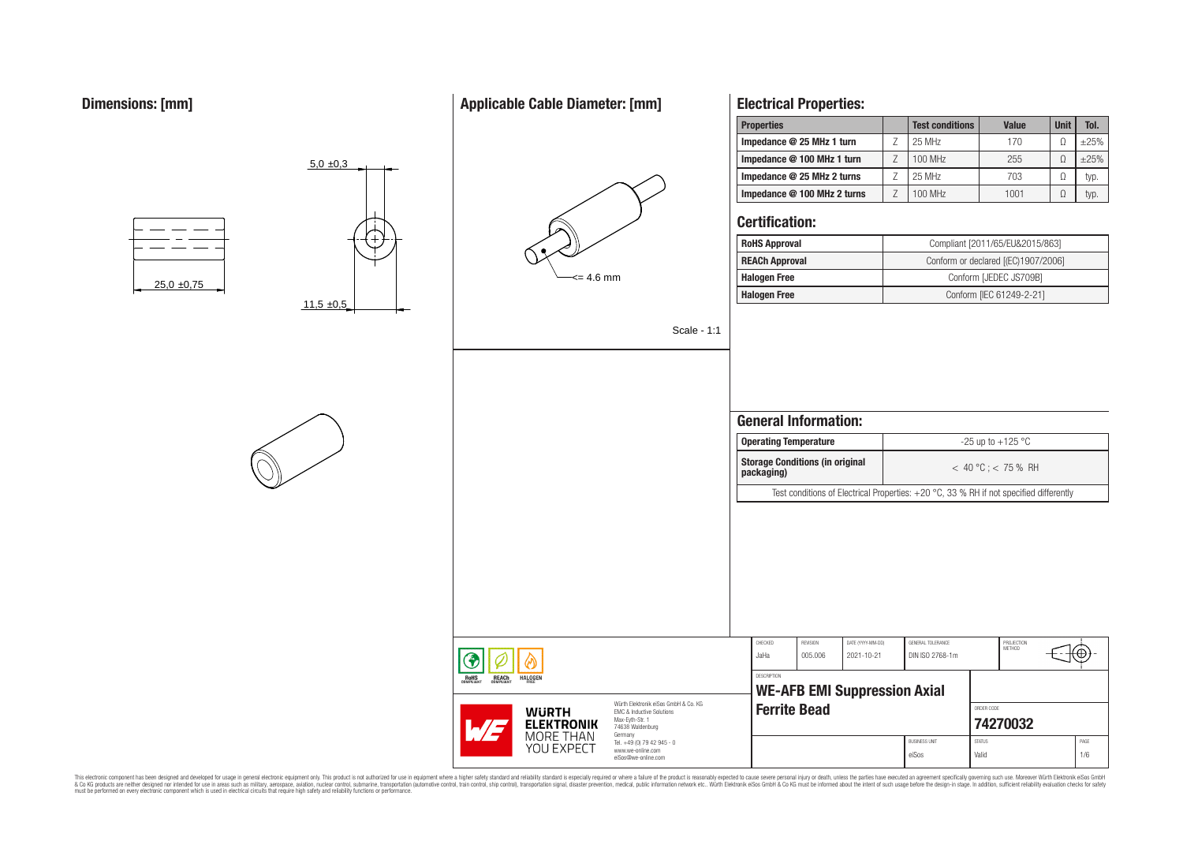# **Applicable Cable Diameter: [mm]**



# **Electrical Properties:**

| <b>Properties</b>           | <b>Test conditions</b> | <b>Value</b> | <b>Unit</b> | Tol.   |
|-----------------------------|------------------------|--------------|-------------|--------|
| Impedance @ 25 MHz 1 turn   | 25 MHz                 | 170          |             | $+25%$ |
| Impedance @ 100 MHz 1 turn  | 100 MHz                | 255          |             | $+25%$ |
| Impedance @ 25 MHz 2 turns  | 25 MHz                 | 703          |             | typ.   |
| Impedance @ 100 MHz 2 turns | $100$ MHz              | 1001         |             | typ.   |

# **Certification:**

| Compliant [2011/65/EU&2015/863]<br><b>RoHS Approval</b> |                                     |  |  |  |
|---------------------------------------------------------|-------------------------------------|--|--|--|
| <b>REACh Approval</b>                                   | Conform or declared [(EC)1907/2006] |  |  |  |
| <b>Halogen Free</b>                                     | Conform [JEDEC JS709B]              |  |  |  |
| <b>Halogen Free</b>                                     | Conform [IEC 61249-2-21]            |  |  |  |

Scale - 1:1

|                                                                                                                     | <b>General Information:</b><br><b>Operating Temperature</b> |                     |                                     |                                                                                          |               | -25 up to $+125$ °C  |  |      |  |
|---------------------------------------------------------------------------------------------------------------------|-------------------------------------------------------------|---------------------|-------------------------------------|------------------------------------------------------------------------------------------|---------------|----------------------|--|------|--|
|                                                                                                                     | <b>Storage Conditions (in original</b><br>packaging)        |                     |                                     | $<$ 40 °C; $<$ 75 % RH                                                                   |               |                      |  |      |  |
|                                                                                                                     |                                                             |                     |                                     | Test conditions of Electrical Properties: $+20$ °C, 33 % RH if not specified differently |               |                      |  |      |  |
|                                                                                                                     |                                                             |                     |                                     |                                                                                          |               |                      |  |      |  |
|                                                                                                                     | CHECKED                                                     | <b>REVISION</b>     | DATE (YYYY-MM-DD)                   | GENERAL TOLERANCE                                                                        |               | PROJECTION<br>MFTHOD |  |      |  |
|                                                                                                                     | JaHa                                                        | 005.006             | 2021-10-21                          | DIN ISO 2768-1m                                                                          |               |                      |  |      |  |
|                                                                                                                     | <b>DESCRIPTION</b>                                          |                     | <b>WE-AFB EMI Suppression Axial</b> |                                                                                          |               |                      |  |      |  |
| Würth Elektronik eiSos GmbH & Co. KG<br><b>EMC &amp; Inductive Solutions</b><br>Max-Eyth-Str. 1<br>74638 Waldenburg |                                                             | <b>Ferrite Bead</b> |                                     |                                                                                          | ORDER CODE    | 74270032             |  |      |  |
| Germany<br>Tel. +49 (0) 79 42 945 - 0                                                                               |                                                             |                     |                                     | <b>BUSINESS UNIT</b>                                                                     | <b>STATUS</b> |                      |  | PAGE |  |

eiSos Valid 1/6

This electronic component has been designed and developed for usage in general electronic equipment only. This product is not authorized for subserved requipment where a higher selection equipment where a higher selection

**ROHS** 

**REACH**<br>COMPLIANT

**HALOGEN** 

**WURTH ELEKTRONIK** MORE THAN **YOU EXPECT** 

www.we-online.com eiSos@we-online.com





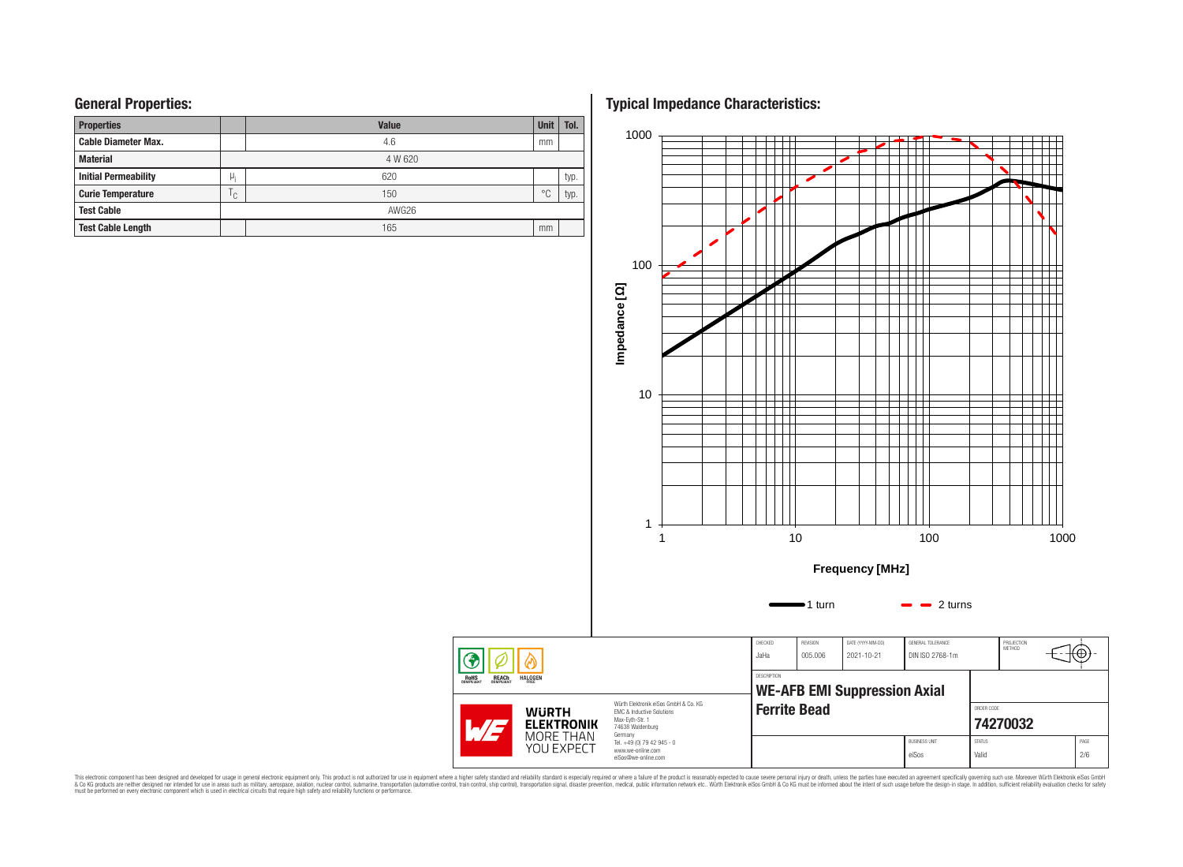# **General Properties:**

| <b>Properties</b>           |              | <b>Value</b> | <b>Unit</b>    | Tol. |
|-----------------------------|--------------|--------------|----------------|------|
| <b>Cable Diameter Max.</b>  |              | 4.6          | mm             |      |
| <b>Material</b>             |              | 4 W 620      |                |      |
| <b>Initial Permeability</b> | μ,           | 620          |                | typ. |
| <b>Curie Temperature</b>    | $\mathsf{C}$ | 150          | $\circ$ $\cap$ | typ. |
| <b>Test Cable</b>           |              | AWG26        |                |      |
| <b>Test Cable Length</b>    |              | 165          | mm             |      |

**Typical Impedance Characteristics:**



This electronic component has been designed and developed for usage in general electronic equipment only. This product is not authorized for subserved requipment where a higher selection equipment where a higher selection

◈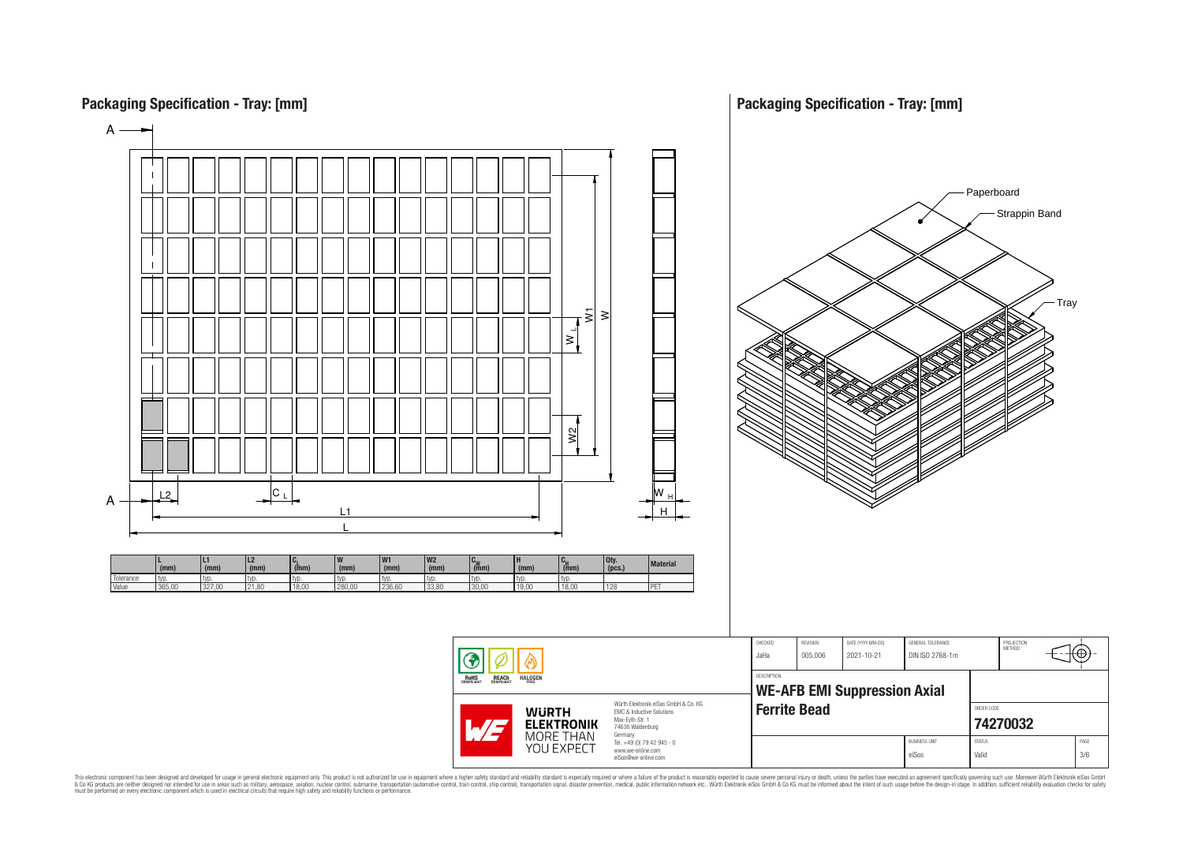

This electronic component has been designed and developed for usage in general electronic equipment only. This product is not authorized for subserved requipment where a higher selection equipment where a higher selection

# **Packaging Specification - Tray: [mm]**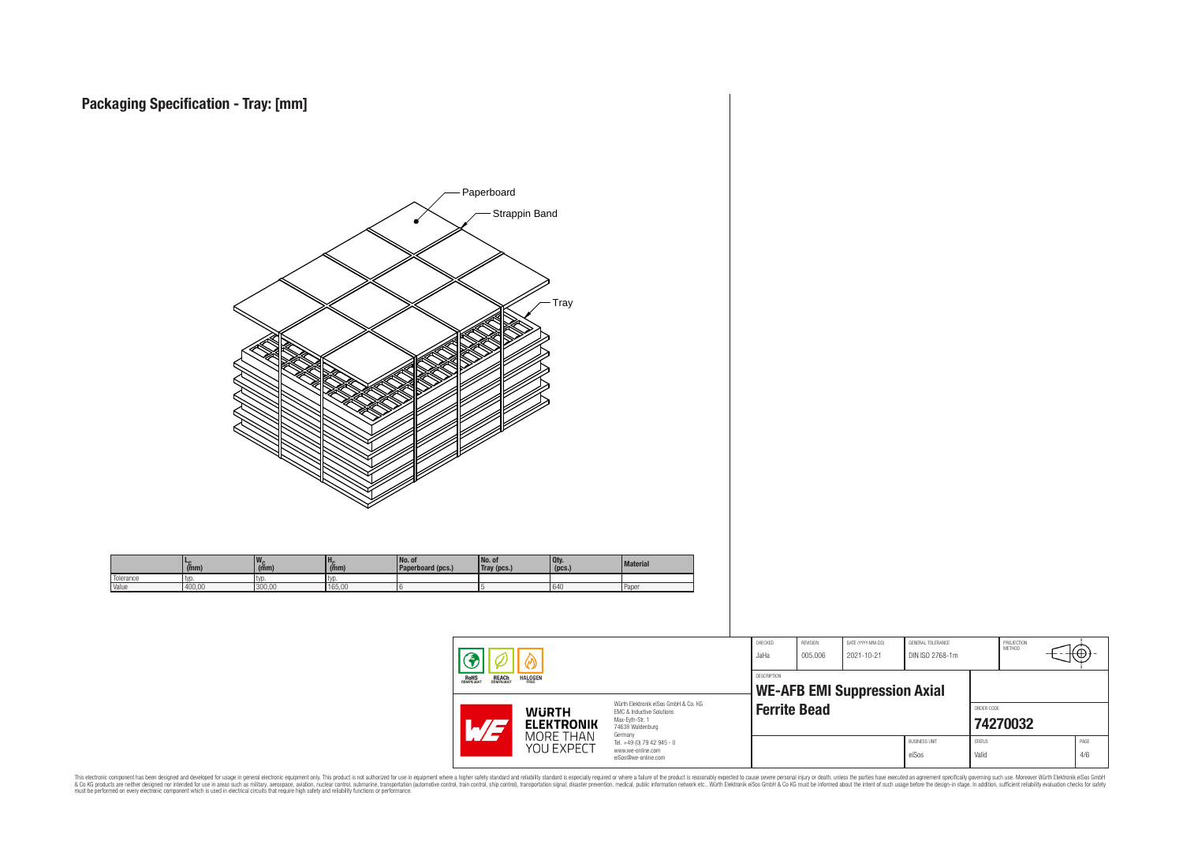

This electronic component has been designed and developed for usage in general electronic equipment only. This product is not authorized for subserved requipment where a higher selection equipment where a higher selection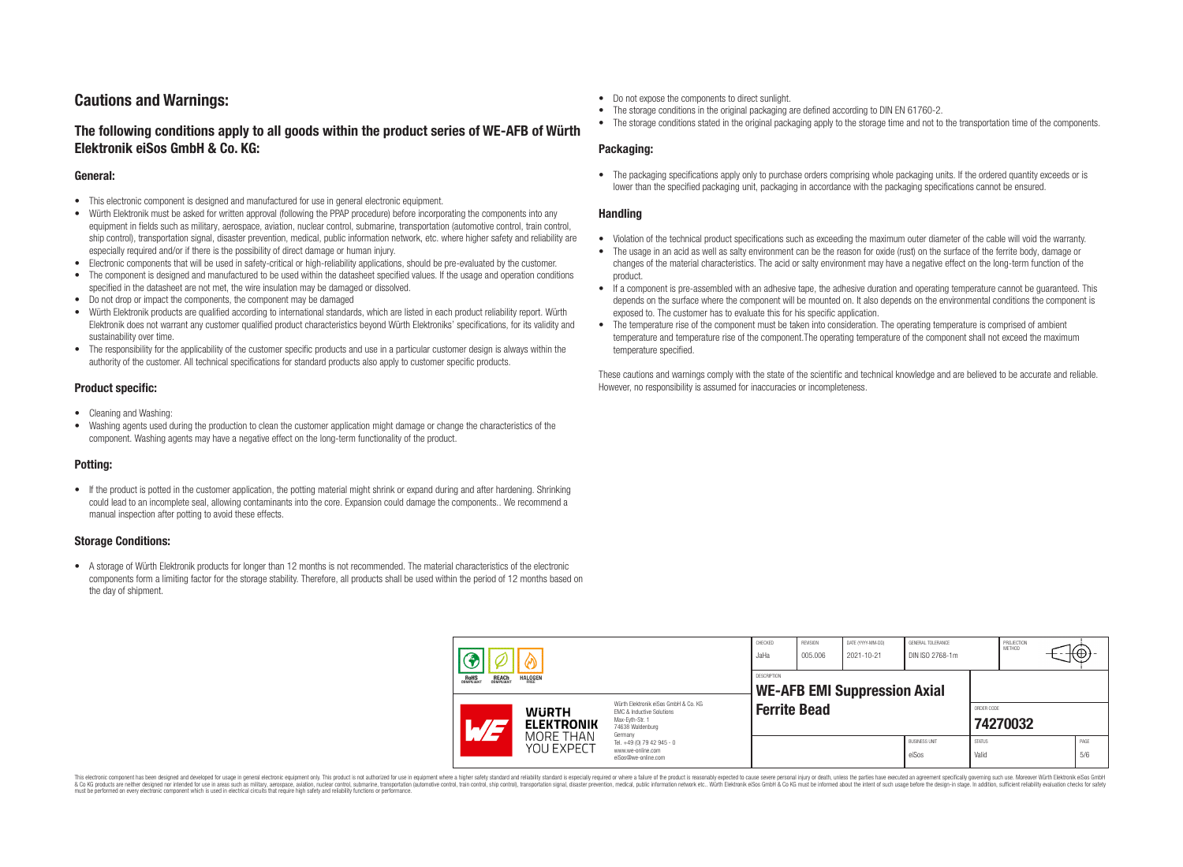# **Cautions and Warnings:**

# **The following conditions apply to all goods within the product series of WE-AFB of Würth Elektronik eiSos GmbH & Co. KG:**

#### **General:**

- This electronic component is designed and manufactured for use in general electronic equipment.
- Würth Elektronik must be asked for written approval (following the PPAP procedure) before incorporating the components into any equipment in fields such as military, aerospace, aviation, nuclear control, submarine, transportation (automotive control, train control, ship control), transportation signal, disaster prevention, medical, public information network, etc. where higher safety and reliability are especially required and/or if there is the possibility of direct damage or human injury.
- Electronic components that will be used in safety-critical or high-reliability applications, should be pre-evaluated by the customer.
- The component is designed and manufactured to be used within the datasheet specified values. If the usage and operation conditions specified in the datasheet are not met, the wire insulation may be damaged or dissolved.
- Do not drop or impact the components, the component may be damaged
- Würth Elektronik products are qualified according to international standards, which are listed in each product reliability report. Würth Elektronik does not warrant any customer qualified product characteristics beyond Würth Elektroniks' specifications, for its validity and sustainability over time.
- The responsibility for the applicability of the customer specific products and use in a particular customer design is always within the authority of the customer. All technical specifications for standard products also apply to customer specific products.

## **Product specific:**

- Cleaning and Washing:
- Washing agents used during the production to clean the customer application might damage or change the characteristics of the component. Washing agents may have a negative effect on the long-term functionality of the product.

## **Potting:**

• If the product is potted in the customer application, the potting material might shrink or expand during and after hardening. Shrinking could lead to an incomplete seal, allowing contaminants into the core. Expansion could damage the components.. We recommend a manual inspection after potting to avoid these effects.

## **Storage Conditions:**

• A storage of Würth Elektronik products for longer than 12 months is not recommended. The material characteristics of the electronic components form a limiting factor for the storage stability. Therefore, all products shall be used within the period of 12 months based on the day of shipment.

- Do not expose the components to direct sunlight.
- The storage conditions in the original packaging are defined according to DIN EN 61760-2.
- The storage conditions stated in the original packaging apply to the storage time and not to the transportation time of the components.

### **Packaging:**

• The packaging specifications apply only to purchase orders comprising whole packaging units. If the ordered quantity exceeds or is lower than the specified packaging unit, packaging in accordance with the packaging specifications cannot be ensured.

### **Handling**

- Violation of the technical product specifications such as exceeding the maximum outer diameter of the cable will void the warranty.
- The usage in an acid as well as salty environment can be the reason for oxide (rust) on the surface of the ferrite body, damage or changes of the material characteristics. The acid or salty environment may have a negative effect on the long-term function of the product.
- If a component is pre-assembled with an adhesive tape, the adhesive duration and operating temperature cannot be guaranteed. This depends on the surface where the component will be mounted on. It also depends on the environmental conditions the component is exposed to. The customer has to evaluate this for his specific application.
- The temperature rise of the component must be taken into consideration. The operating temperature is comprised of ambient temperature and temperature rise of the component.The operating temperature of the component shall not exceed the maximum temperature specified.

These cautions and warnings comply with the state of the scientific and technical knowledge and are believed to be accurate and reliable. However, no responsibility is assumed for inaccuracies or incompleteness.

| <b>REACH</b><br>COMPLIANT<br><b>HALOGEN</b><br>ROHS<br>COMPLIANT |                                                                                                                                                                                       | CHECKED<br>JaHa                                           | <b>REVISION</b><br>005.006                                                        | DATE (YYYY-MM-DD)<br>2021-10-21 | GENERAL TOLERANCE<br>DIN ISO 2768-1m |  | PROJECTION<br>METHOD          | +⊕,                    |  |             |
|------------------------------------------------------------------|---------------------------------------------------------------------------------------------------------------------------------------------------------------------------------------|-----------------------------------------------------------|-----------------------------------------------------------------------------------|---------------------------------|--------------------------------------|--|-------------------------------|------------------------|--|-------------|
|                                                                  |                                                                                                                                                                                       | <b>DESCRIPTION</b><br><b>WE-AFB EMI Suppression Axial</b> |                                                                                   |                                 |                                      |  |                               |                        |  |             |
|                                                                  | Würth Elektronik eiSos GmbH & Co. KG<br><b>WURTH</b><br><b>EMC &amp; Inductive Solutions</b><br>Max-Eyth-Str. 1<br><b>ELEKTRONIK</b><br>$\mathcal{A}/\mathcal{A}$<br>74638 Waldenburg |                                                           | <b>Ferrite Bead</b>                                                               |                                 |                                      |  | ORDER CODE                    | 74270032               |  |             |
|                                                                  |                                                                                                                                                                                       | MORE THAN<br>YOU EXPECT                                   | Germany<br>Tel. +49 (0) 79 42 945 - 0<br>www.we-online.com<br>eiSos@we-online.com |                                 |                                      |  | <b>BUSINESS UNIT</b><br>eiSos | <b>STATUS</b><br>Valid |  | PAGE<br>5/6 |

This electronic component has been designed and developed for usage in general electronic equipment only. This product is not authorized for use in equipment where a higher safety standard and reliability standard si espec & Ook product a label and the membed of the seasuch as marked and as which such a membed and the such assume that income in the seasuch and the simulation and the such assume that include to the such a membed and the such